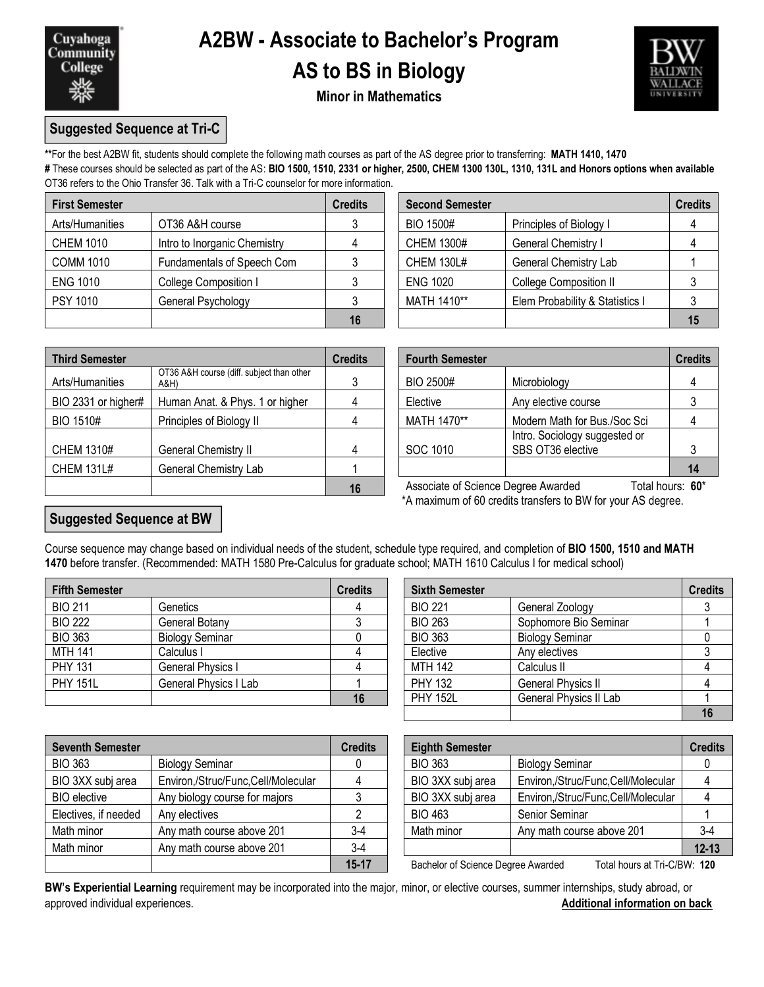

## **A2BW - Associate to Bachelor's Program AS to BS in Biology**



### **Minor in Mathematics**

### **Suggested Sequence at Tri-C**

**\*\***For the best A2BW fit, students should complete the following math courses as part of the AS degree prior to transferring: **MATH 1410, 1470**

**#** These courses should be selected as part of the AS: **BIO 1500, 1510, 2331 or higher, 2500, CHEM 1300 130L, 1310, 131L and Honors options when available** OT36 refers to the Ohio Transfer 36. Talk with a Tri-C counselor for more information.

| <b>First Semester</b> |                              | <b>Credits</b> | <b>Second Semester</b> |                                 |    |
|-----------------------|------------------------------|----------------|------------------------|---------------------------------|----|
| Arts/Humanities       | OT36 A&H course              |                | <b>BIO 1500#</b>       | Principles of Biology I         |    |
| <b>CHEM 1010</b>      | Intro to Inorganic Chemistry |                | <b>CHEM 1300#</b>      | General Chemistry I             |    |
| <b>COMM 1010</b>      | Fundamentals of Speech Com   |                | <b>CHEM 130L#</b>      | <b>General Chemistry Lab</b>    |    |
| <b>ENG 1010</b>       | College Composition I        |                | <b>ENG 1020</b>        | <b>College Composition II</b>   |    |
| PSY 1010              | General Psychology           |                | MATH 1410**            | Elem Probability & Statistics I |    |
|                       |                              |                |                        |                                 | 15 |

| dits           | <b>Second Semester</b> |                                 | <b>Credits</b> |
|----------------|------------------------|---------------------------------|----------------|
| 3              | <b>BIO 1500#</b>       | Principles of Biology I         |                |
| $\overline{4}$ | <b>CHEM 1300#</b>      | General Chemistry I             |                |
| 3              | <b>CHEM 130L#</b>      | General Chemistry Lab           |                |
| 3              | <b>ENG 1020</b>        | <b>College Composition II</b>   |                |
| 3              | MATH 1410**            | Elem Probability & Statistics I |                |
| 16             |                        |                                 |                |

| <b>Third Semester</b> |                                                   | <b>Credits</b> | <b>Fourth Semester</b>              |                                                    | <b>Credits</b>   |
|-----------------------|---------------------------------------------------|----------------|-------------------------------------|----------------------------------------------------|------------------|
| Arts/Humanities       | OT36 A&H course (diff. subject than other<br>A&H) |                | BIO 2500#                           | Microbiology                                       |                  |
| BIO 2331 or higher#   | Human Anat. & Phys. 1 or higher                   |                | Elective                            | Any elective course                                |                  |
| BIO 1510#             | Principles of Biology II                          |                | MATH 1470**                         | Modern Math for Bus./Soc Sci                       |                  |
| <b>CHEM 1310#</b>     | General Chemistry II                              | 4              | SOC 1010                            | Intro. Sociology suggested or<br>SBS OT36 elective |                  |
| <b>CHEM 131L#</b>     | General Chemistry Lab                             |                |                                     |                                                    | 14               |
|                       |                                                   | 16             | Associate of Science Degree Awarded |                                                    | Total hours: 60* |

|                                                   | <b>Credits</b> | <b>Fourth Semester</b> |                                                    |                  |  |
|---------------------------------------------------|----------------|------------------------|----------------------------------------------------|------------------|--|
| OT36 A&H course (diff. subject than other<br>A&H) | 3              | BIO 2500#              | Microbiology                                       |                  |  |
| Human Anat. & Phys. 1 or higher                   |                | Elective               | Any elective course                                |                  |  |
| Principles of Biology II                          |                | MATH 1470**            | Modern Math for Bus./Soc Sci                       |                  |  |
| General Chemistry II                              |                | SOC 1010               | Intro. Sociology suggested or<br>SBS OT36 elective |                  |  |
| General Chemistry Lab                             |                |                        |                                                    | 14               |  |
| 16                                                |                |                        | Associate of Science Degree Awarded                | Total hours: 60* |  |

\*A maximum of 60 credits transfers to BW for your AS degree.

### **Suggested Sequence at BW**

Course sequence may change based on individual needs of the student, schedule type required, and completion of **BIO 1500, 1510 and MATH 1470** before transfer. (Recommended: MATH 1580 Pre-Calculus for graduate school; MATH 1610 Calculus I for medical school)

| <b>Fifth Semester</b> |                        | <b>Credits</b> | <b>Sixth Semester</b> |                           | <b>Credits</b> |
|-----------------------|------------------------|----------------|-----------------------|---------------------------|----------------|
| <b>BIO 211</b>        | Genetics               |                | <b>BIO 221</b>        | General Zoology           |                |
| <b>BIO 222</b>        | General Botany         |                | <b>BIO 263</b>        | Sophomore Bio Seminar     |                |
| <b>BIO 363</b>        | <b>Biology Seminar</b> |                | <b>BIO 363</b>        | <b>Biology Seminar</b>    |                |
| <b>MTH 141</b>        | Calculus I             |                | Elective              | Any electives             |                |
| <b>PHY 131</b>        | General Physics I      |                | <b>MTH 142</b>        | Calculus II               |                |
| <b>PHY 151L</b>       | General Physics I Lab  |                | <b>PHY 132</b>        | <b>General Physics II</b> |                |
|                       |                        |                | <b>PHY 152L</b>       | General Physics II Lab    |                |

| dits           | <b>Sixth Semester</b> |                           | <b>Credits</b> |
|----------------|-----------------------|---------------------------|----------------|
| $\overline{4}$ | <b>BIO 221</b>        | General Zoology           |                |
| 3              | <b>BIO 263</b>        | Sophomore Bio Seminar     |                |
|                | <b>BIO 363</b>        | <b>Biology Seminar</b>    |                |
|                | Elective              | Any electives             |                |
| $\overline{4}$ | <b>MTH 142</b>        | Calculus II               |                |
|                | <b>PHY 132</b>        | <b>General Physics II</b> |                |
| 16             | <b>PHY 152L</b>       | General Physics II Lab    |                |
|                |                       |                           |                |

| <b>Seventh Semester</b> |                                    | <b>Credits</b> | <b>Eighth Semester</b>             |                                    | <b>Credits</b> |
|-------------------------|------------------------------------|----------------|------------------------------------|------------------------------------|----------------|
| <b>BIO 363</b>          | <b>Biology Seminar</b>             |                | <b>BIO 363</b>                     | <b>Biology Seminar</b>             |                |
| BIO 3XX subj area       | Environ,/Struc/Func,Cell/Molecular |                | BIO 3XX subj area                  | Environ,/Struc/Func,Cell/Molecular |                |
| <b>BIO</b> elective     | Any biology course for majors      |                | BIO 3XX subj area                  | Environ,/Struc/Func,Cell/Molecular |                |
| Electives, if needed    | Any electives                      |                | <b>BIO 463</b>                     | Senior Seminar                     |                |
| Math minor              | Any math course above 201          | $3-4$          | Math minor                         | Any math course above 201          | $3 - 4$        |
| Math minor              | Any math course above 201          | $3-4$          |                                    |                                    | $12 - 13$      |
|                         |                                    | $15 - 17$      | Bachelor of Science Degree Awarded | Total hours at Tri-C/BW: 120       |                |

| <b>Eighth Semester</b> |                                    | <b>Credits</b> |
|------------------------|------------------------------------|----------------|
| <b>BIO 363</b>         | <b>Biology Seminar</b>             |                |
| BIO 3XX subj area      | Environ,/Struc/Func,Cell/Molecular |                |
| BIO 3XX subj area      | Environ,/Struc/Func,Cell/Molecular |                |
| <b>BIO 463</b>         | Senior Seminar                     |                |
| Math minor             | Any math course above 201          | $3-4$          |
|                        |                                    | $12 - 13$      |

**15-17** Bachelor of Science Degree Awarded Total hours at Tri-C/BW: **120**

**BW's Experiential Learning** requirement may be incorporated into the major, minor, or elective courses, summer internships, study abroad, or approved individual experiences. **Additional information on back**